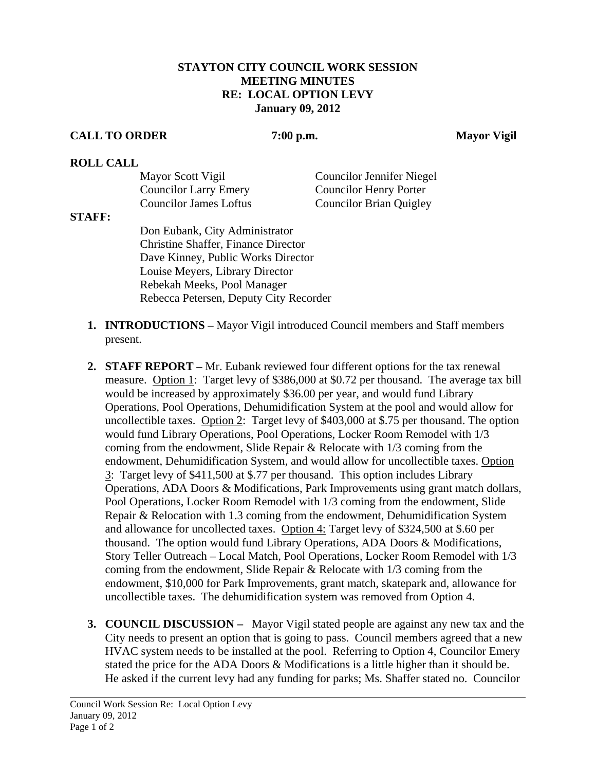## **STAYTON CITY COUNCIL WORK SESSION MEETING MINUTES RE: LOCAL OPTION LEVY January 09, 2012**

## **CALL TO ORDER 7:00 p.m. Mayor Vigil**

## **ROLL CALL**

| Mayor Scott Vigil             | Councilor Jennifer Niegel      |
|-------------------------------|--------------------------------|
| <b>Councilor Larry Emery</b>  | <b>Councilor Henry Porter</b>  |
| <b>Councilor James Loftus</b> | <b>Councilor Brian Quigley</b> |

## **STAFF:**

Don Eubank, City Administrator Christine Shaffer, Finance Director Dave Kinney, Public Works Director Louise Meyers, Library Director Rebekah Meeks, Pool Manager Rebecca Petersen, Deputy City Recorder

- **1. INTRODUCTIONS** Mayor Vigil introduced Council members and Staff members present.
- **2. STAFF REPORT** Mr. Eubank reviewed four different options for the tax renewal measure. Option 1: Target levy of \$386,000 at \$0.72 per thousand. The average tax bill would be increased by approximately \$36.00 per year, and would fund Library Operations, Pool Operations, Dehumidification System at the pool and would allow for uncollectible taxes. Option 2: Target levy of \$403,000 at \$.75 per thousand. The option would fund Library Operations, Pool Operations, Locker Room Remodel with 1/3 coming from the endowment, Slide Repair & Relocate with 1/3 coming from the endowment, Dehumidification System, and would allow for uncollectible taxes. Option 3: Target levy of \$411,500 at \$.77 per thousand. This option includes Library Operations, ADA Doors & Modifications, Park Improvements using grant match dollars, Pool Operations, Locker Room Remodel with 1/3 coming from the endowment, Slide Repair & Relocation with 1.3 coming from the endowment, Dehumidification System and allowance for uncollected taxes.Option 4: Target levy of \$324,500 at \$.60 per thousand. The option would fund Library Operations, ADA Doors & Modifications, Story Teller Outreach – Local Match, Pool Operations, Locker Room Remodel with 1/3 coming from the endowment, Slide Repair & Relocate with 1/3 coming from the endowment, \$10,000 for Park Improvements, grant match, skatepark and, allowance for uncollectible taxes. The dehumidification system was removed from Option 4.
- **3. COUNCIL DISCUSSION** Mayor Vigil stated people are against any new tax and the City needs to present an option that is going to pass. Council members agreed that a new HVAC system needs to be installed at the pool. Referring to Option 4, Councilor Emery stated the price for the ADA Doors & Modifications is a little higher than it should be. He asked if the current levy had any funding for parks; Ms. Shaffer stated no. Councilor

l